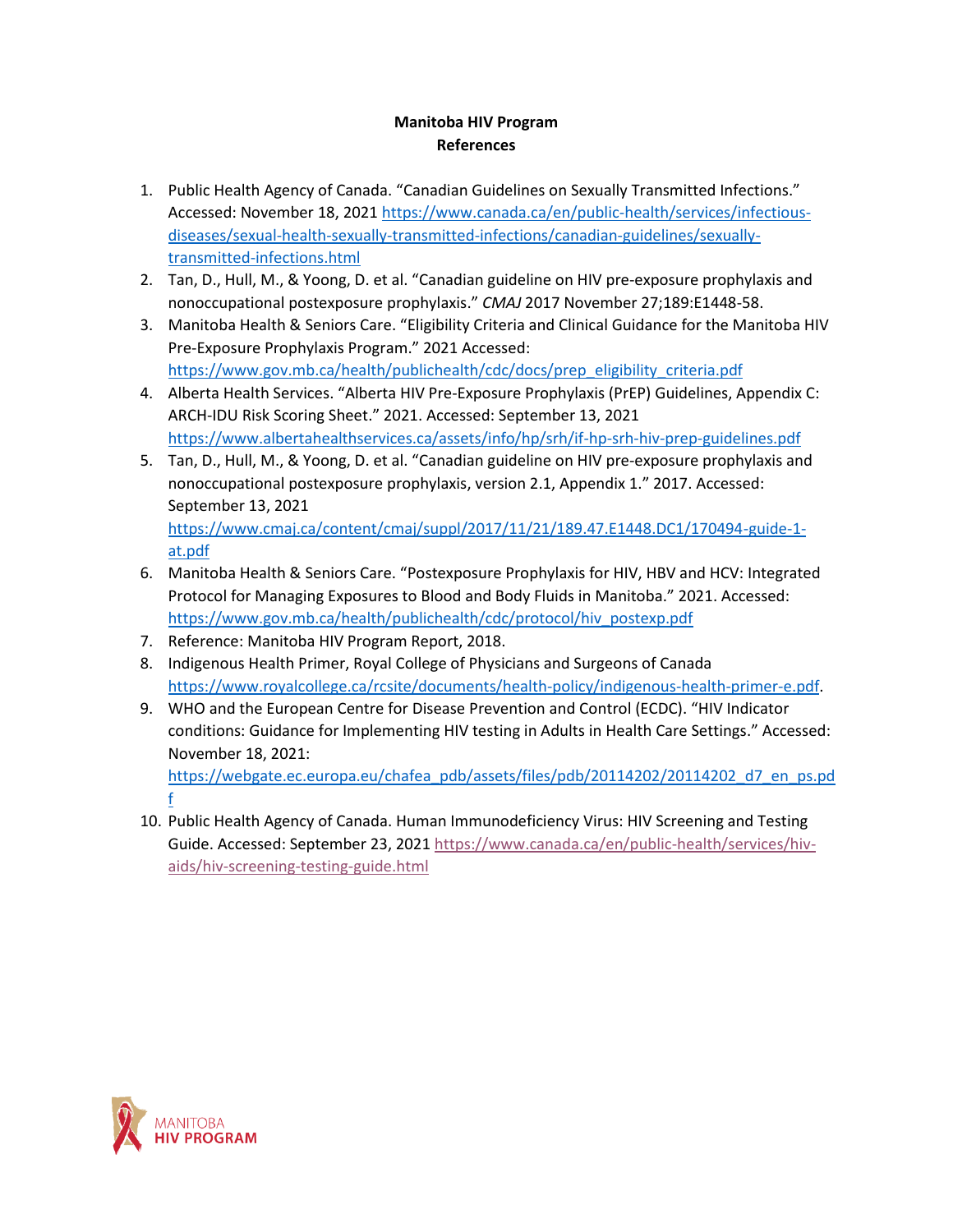## **Manitoba HIV Program References**

- 1. Public Health Agency of Canada. "Canadian Guidelines on Sexually Transmitted Infections." Accessed: November 18, 2021 [https://www.canada.ca/en/public-health/services/infectious](https://www.canada.ca/en/public-health/services/infectious-diseases/sexual-health-sexually-transmitted-infections/canadian-guidelines/sexually-transmitted-infections.html)[diseases/sexual-health-sexually-transmitted-infections/canadian-guidelines/sexually](https://www.canada.ca/en/public-health/services/infectious-diseases/sexual-health-sexually-transmitted-infections/canadian-guidelines/sexually-transmitted-infections.html)[transmitted-infections.html](https://www.canada.ca/en/public-health/services/infectious-diseases/sexual-health-sexually-transmitted-infections/canadian-guidelines/sexually-transmitted-infections.html)
- 2. Tan, D., Hull, M., & Yoong, D. et al. "Canadian guideline on HIV pre-exposure prophylaxis and nonoccupational postexposure prophylaxis." *CMAJ* 2017 November 27;189:E1448-58.
- 3. Manitoba Health & Seniors Care. "Eligibility Criteria and Clinical Guidance for the Manitoba HIV Pre-Exposure Prophylaxis Program." 2021 Accessed: [https://www.gov.mb.ca/health/publichealth/cdc/docs/prep\\_eligibility\\_criteria.pdf](https://www.gov.mb.ca/health/publichealth/cdc/docs/prep_eligibility_criteria.pdf)
- 4. Alberta Health Services. "Alberta HIV Pre-Exposure Prophylaxis (PrEP) Guidelines, Appendix C: ARCH-IDU Risk Scoring Sheet." 2021. Accessed: September 13, 2021 <https://www.albertahealthservices.ca/assets/info/hp/srh/if-hp-srh-hiv-prep-guidelines.pdf>
- 5. Tan, D., Hull, M., & Yoong, D. et al. "Canadian guideline on HIV pre-exposure prophylaxis and nonoccupational postexposure prophylaxis, version 2.1, Appendix 1." 2017. Accessed: September 13, 2021

[https://www.cmaj.ca/content/cmaj/suppl/2017/11/21/189.47.E1448.DC1/170494-guide-1](https://www.cmaj.ca/content/cmaj/suppl/2017/11/21/189.47.E1448.DC1/170494-guide-1-at.pdf) [at.pdf](https://www.cmaj.ca/content/cmaj/suppl/2017/11/21/189.47.E1448.DC1/170494-guide-1-at.pdf)

- 6. Manitoba Health & Seniors Care. "Postexposure Prophylaxis for HIV, HBV and HCV: Integrated Protocol for Managing Exposures to Blood and Body Fluids in Manitoba." 2021. Accessed: [https://www.gov.mb.ca/health/publichealth/cdc/protocol/hiv\\_postexp.pdf](https://www.gov.mb.ca/health/publichealth/cdc/protocol/hiv_postexp.pdf)
- 7. Reference: Manitoba HIV Program Report, 2018.
- 8. Indigenous Health Primer, Royal College of Physicians and Surgeons of Canada [https://www.royalcollege.ca/rcsite/documents/health-policy/indigenous-health-primer-e.pdf.](https://www.royalcollege.ca/rcsite/documents/health-policy/indigenous-health-primer-e.pdf)
- 9. WHO and the European Centre for Disease Prevention and Control (ECDC). "HIV Indicator conditions: Guidance for Implementing HIV testing in Adults in Health Care Settings." Accessed: November 18, 2021:

[https://webgate.ec.europa.eu/chafea\\_pdb/assets/files/pdb/20114202/20114202\\_d7\\_en\\_ps.pd](https://webgate.ec.europa.eu/chafea_pdb/assets/files/pdb/20114202/20114202_d7_en_ps.pdf) [f](https://webgate.ec.europa.eu/chafea_pdb/assets/files/pdb/20114202/20114202_d7_en_ps.pdf)

10. Public Health Agency of Canada. Human Immunodeficiency Virus: HIV Screening and Testing Guide. Accessed: September 23, 2021 [https://www.canada.ca/en/public-health/services/hiv](https://www.canada.ca/en/public-health/services/hiv-aids/hiv-screening-testing-guide.html)[aids/hiv-screening-testing-guide.html](https://www.canada.ca/en/public-health/services/hiv-aids/hiv-screening-testing-guide.html)